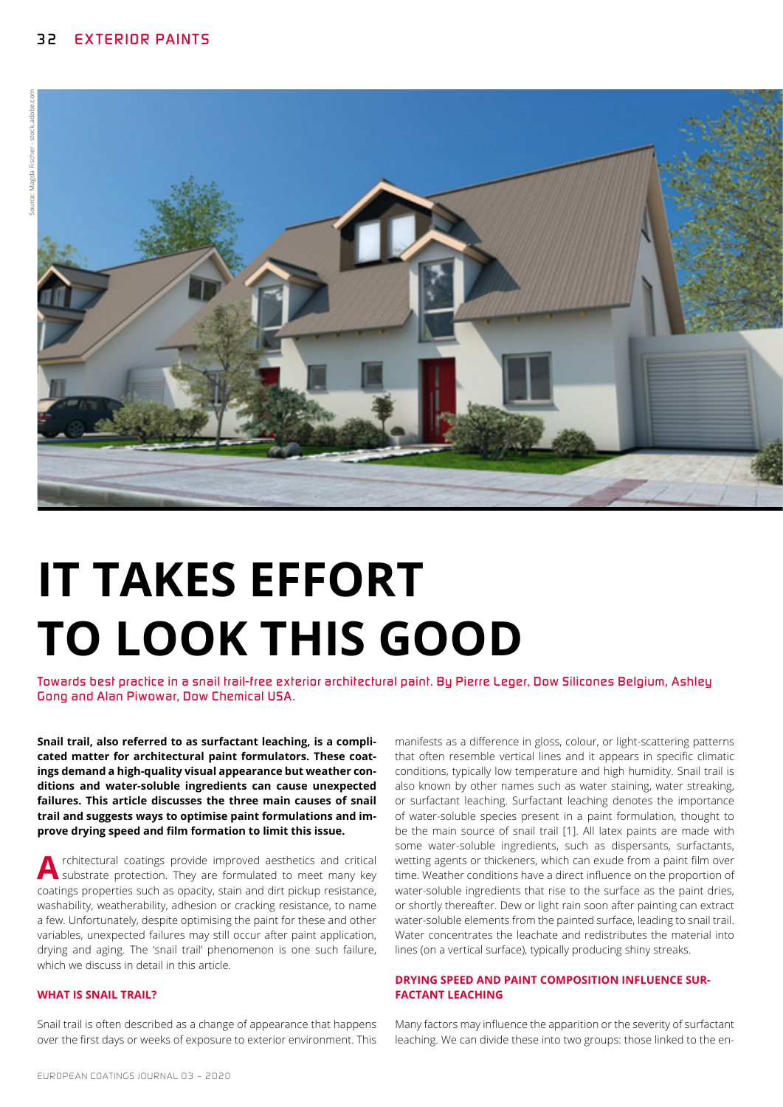

# **IT TAKES EFFORT TO LOOK THIS GOOD**

*Towards best practice in a snail trail-free exterior architectural paint. By Pierre Leger, Dow Silicones Belgium, Ashley Gong and Alan Piwowar, Dow Chemical USA.*

**Snail trail, also referred to as surfactant leaching, is a complicated matter for architectural paint formulators. These coatings demand a high-quality visual appearance but weather conditions and water-soluble ingredients can cause unexpected failures. This article discusses the three main causes of snail trail and suggests ways to optimise paint formulations and improve drying speed and film formation to limit this issue.**

**A** rchitectural coatings provide improved aesthetics and critical substrate protection. They are formulated to meet many key coatings properties such as opacity, stain and dirt pickup resistance, washability, weatherability, adhesion or cracking resistance, to name a few. Unfortunately, despite optimising the paint for these and other variables, unexpected failures may still occur after paint application, drying and aging. The 'snail trail' phenomenon is one such failure, which we discuss in detail in this article.

### **WHAT IS SNAIL TRAIL?**

Snail trail is often described as a change of appearance that happens over the first days or weeks of exposure to exterior environment. This

manifests as a difference in gloss, colour, or light-scattering patterns that often resemble vertical lines and it appears in specific climatic conditions, typically low temperature and high humidity. Snail trail is also known by other names such as water staining, water streaking, or surfactant leaching. Surfactant leaching denotes the importance of water-soluble species present in a paint formulation, thought to be the main source of snail trail [1]. All latex paints are made with some water-soluble ingredients, such as dispersants, surfactants, wetting agents or thickeners, which can exude from a paint film over time. Weather conditions have a direct influence on the proportion of water-soluble ingredients that rise to the surface as the paint dries, or shortly thereafter. Dew or light rain soon after painting can extract water-soluble elements from the painted surface, leading to snail trail. Water concentrates the leachate and redistributes the material into lines (on a vertical surface), typically producing shiny streaks.

#### **DRYING SPEED AND PAINT COMPOSITION INFLUENCE SUR-FACTANT LEACHING**

Many factors may influence the apparition or the severity of surfactant leaching. We can divide these into two groups: those linked to the en-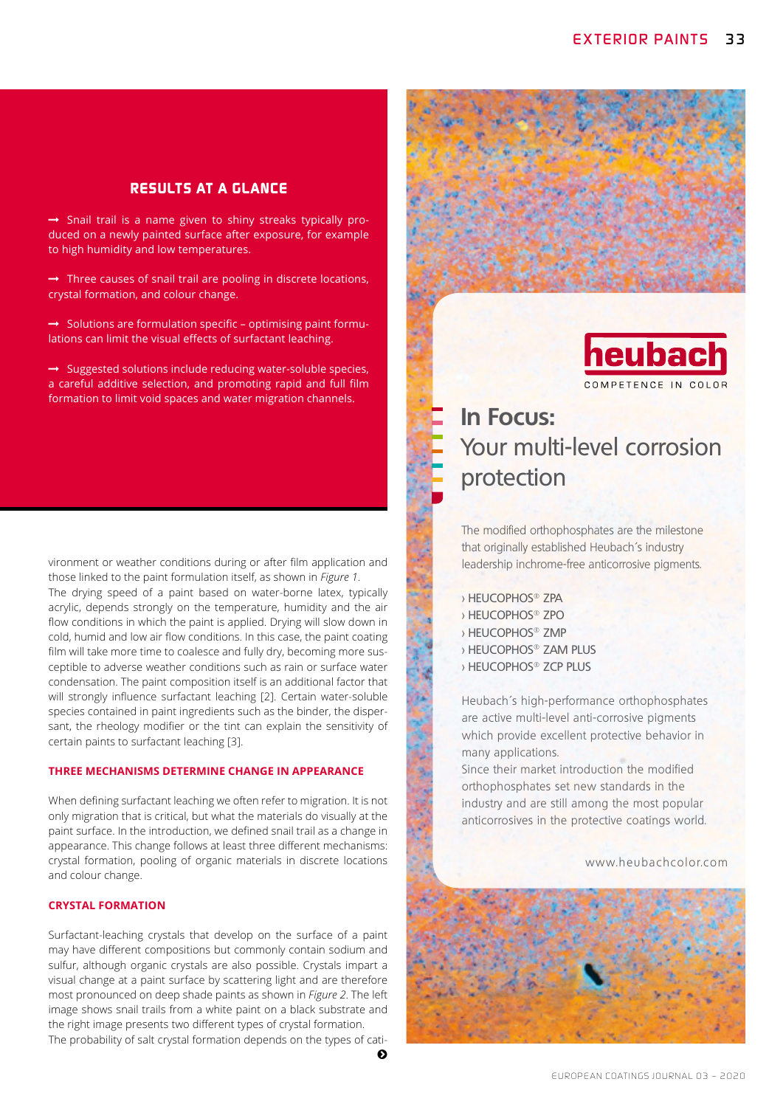## *RESULTS AT A GLANCE*

 $\rightarrow$  Snail trail is a name given to shiny streaks typically produced on a newly painted surface after exposure, for example to high humidity and low temperatures.

 $\rightarrow$  Three causes of snail trail are pooling in discrete locations, crystal formation, and colour change.

 $\rightarrow$  Solutions are formulation specific – optimising paint formulations can limit the visual effects of surfactant leaching.

 $\rightarrow$  Suggested solutions include reducing water-soluble species, a careful additive selection, and promoting rapid and full film formation to limit void spaces and water migration channels.

vironment or weather conditions during or after film application and those linked to the paint formulation itself, as shown in *Figure 1*. The drying speed of a paint based on water-borne latex, typically acrylic, depends strongly on the temperature, humidity and the air flow conditions in which the paint is applied. Drying will slow down in cold, humid and low air flow conditions. In this case, the paint coating film will take more time to coalesce and fully dry, becoming more susceptible to adverse weather conditions such as rain or surface water condensation. The paint composition itself is an additional factor that will strongly influence surfactant leaching [2]. Certain water-soluble species contained in paint ingredients such as the binder, the dispersant, the rheology modifier or the tint can explain the sensitivity of certain paints to surfactant leaching [3].

#### **THREE MECHANISMS DETERMINE CHANGE IN APPEARANCE**

When defining surfactant leaching we often refer to migration. It is not only migration that is critical, but what the materials do visually at the paint surface. In the introduction, we defined snail trail as a change in appearance. This change follows at least three different mechanisms: crystal formation, pooling of organic materials in discrete locations and colour change.

#### **CRYSTAL FORMATION**

Surfactant-leaching crystals that develop on the surface of a paint may have different compositions but commonly contain sodium and sulfur, although organic crystals are also possible. Crystals impart a visual change at a paint surface by scattering light and are therefore most pronounced on deep shade paints as shown in *Figure 2*. The left image shows snail trails from a white paint on a black substrate and the right image presents two different types of crystal formation. The probability of salt crystal formation depends on the types of cati-

 $\bullet$ 





# **In Focus:** Your multi-level corrosion protection

The modified orthophosphates are the milestone that originally established Heubach´s industry leadership inchrome-free anticorrosive pigments.

- > HEUCOPHOS® ZPA
- > HEUCOPHOS® ZPO
- > HEUCOPHOS® ZMP
- > HEUCOPHOS® ZAM PLUS
- > HEUCOPHOS® ZCP PLUS

Heubach´s high-performance orthophosphates are active multi-level anti-corrosive pigments which provide excellent protective behavior in many applications.

Since their market introduction the modified orthophosphates set new standards in the industry and are still among the most popular anticorrosives in the protective coatings world.

www.heubachcolor.com

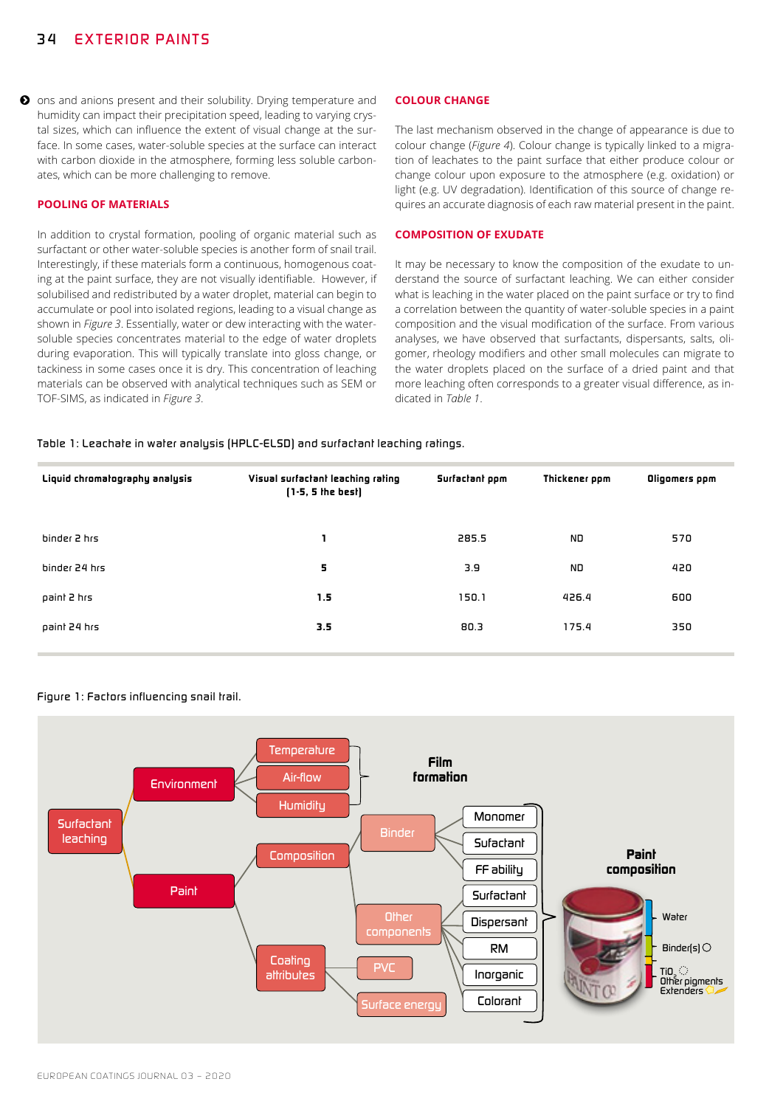$\bullet$  ons and anions present and their solubility. Drying temperature and humidity can impact their precipitation speed, leading to varying crystal sizes, which can influence the extent of visual change at the surface. In some cases, water-soluble species at the surface can interact with carbon dioxide in the atmosphere, forming less soluble carbonates, which can be more challenging to remove.

#### **POOLING OF MATERIALS**

In addition to crystal formation, pooling of organic material such as surfactant or other water-soluble species is another form of snail trail. Interestingly, if these materials form a continuous, homogenous coating at the paint surface, they are not visually identifiable. However, if solubilised and redistributed by a water droplet, material can begin to accumulate or pool into isolated regions, leading to a visual change as shown in *Figure 3*. Essentially, water or dew interacting with the watersoluble species concentrates material to the edge of water droplets during evaporation. This will typically translate into gloss change, or tackiness in some cases once it is dry. This concentration of leaching materials can be observed with analytical techniques such as SEM or TOF-SIMS, as indicated in *Figure 3*.

#### **COLOUR CHANGE**

The last mechanism observed in the change of appearance is due to colour change (*Figure 4*). Colour change is typically linked to a migration of leachates to the paint surface that either produce colour or change colour upon exposure to the atmosphere (e.g. oxidation) or light (e.g. UV degradation). Identification of this source of change requires an accurate diagnosis of each raw material present in the paint.

#### **COMPOSITION OF EXUDATE**

It may be necessary to know the composition of the exudate to understand the source of surfactant leaching. We can either consider what is leaching in the water placed on the paint surface or try to find a correlation between the quantity of water-soluble species in a paint composition and the visual modification of the surface. From various analyses, we have observed that surfactants, dispersants, salts, oligomer, rheology modifiers and other small molecules can migrate to the water droplets placed on the surface of a dried paint and that more leaching often corresponds to a greater visual difference, as indicated in *Table 1*.

#### *Table 1: Leachate in water analysis (HPLC-ELSD) and surfactant leaching ratings.*

| Liquid chromatography analysis | Visual surfactant leaching rating<br>$[1-5, 5]$ the best] | Surfactant ppm | Thickener ppm | Oligomers ppm |
|--------------------------------|-----------------------------------------------------------|----------------|---------------|---------------|
| binder 2 hrs                   |                                                           | 285.5          | ND.           | 570           |
| binder 24 hrs                  | 5                                                         | 3.9            | ND.           | 420           |
| paint 2 hrs                    | 1.5                                                       | 150.1          | 426.4         | 600           |
| paint 24 hrs                   | 3.5                                                       | 80.3           | 175.4         | 350           |

#### *Figure 1: Factors influencing snail trail.*

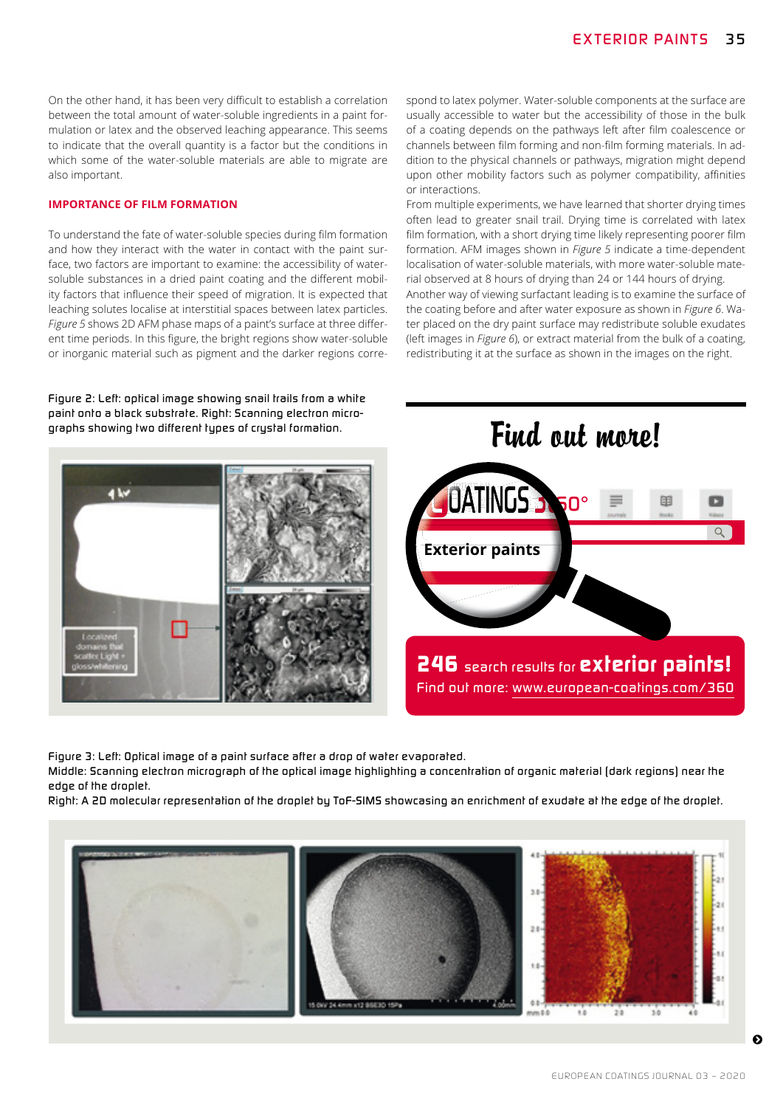On the other hand, it has been very difficult to establish a correlation between the total amount of water-soluble ingredients in a paint formulation or latex and the observed leaching appearance. This seems to indicate that the overall quantity is a factor but the conditions in which some of the water-soluble materials are able to migrate are also important.

#### **IMPORTANCE OF FILM FORMATION**

To understand the fate of water-soluble species during film formation and how they interact with the water in contact with the paint surface, two factors are important to examine: the accessibility of watersoluble substances in a dried paint coating and the different mobility factors that influence their speed of migration. It is expected that leaching solutes localise at interstitial spaces between latex particles. *Figure 5* shows 2D AFM phase maps of a paint's surface at three different time periods. In this figure, the bright regions show water-soluble or inorganic material such as pigment and the darker regions corre-

*Figure 2: Left: optical image showing snail trails from a white paint onto a black substrate. Right: Scanning electron micro*graphs showing two different types of crystal formation.

spond to latex polymer. Water-soluble components at the surface are usually accessible to water but the accessibility of those in the bulk of a coating depends on the pathways left after film coalescence or channels between film forming and non-film forming materials. In addition to the physical channels or pathways, migration might depend upon other mobility factors such as polymer compatibility, affinities or interactions.

From multiple experiments, we have learned that shorter drying times often lead to greater snail trail. Drying time is correlated with latex film formation, with a short drying time likely representing poorer film formation. AFM images shown in *Figure 5* indicate a time-dependent localisation of water-soluble materials, with more water-soluble material observed at 8 hours of drying than 24 or 144 hours of drying. Another way of viewing surfactant leading is to examine the surface of the coating before and after water exposure as shown in *Figure 6*. Water placed on the dry paint surface may redistribute soluble exudates (left images in *Figure 6*), or extract material from the bulk of a coating, redistributing it at the surface as shown in the images on the right.



*Figure 3: Left: Optical image of a paint surface after a drop of water evaporated.* 

*Middle: Scanning electron micrograph of the optical image highlighting a concentration of organic material (dark regions) near the edge of the droplet.* 

*Right: A 2D molecular representation of the droplet by ToF-SIMS showcasing an enrichment of exudate at the edge of the droplet.*

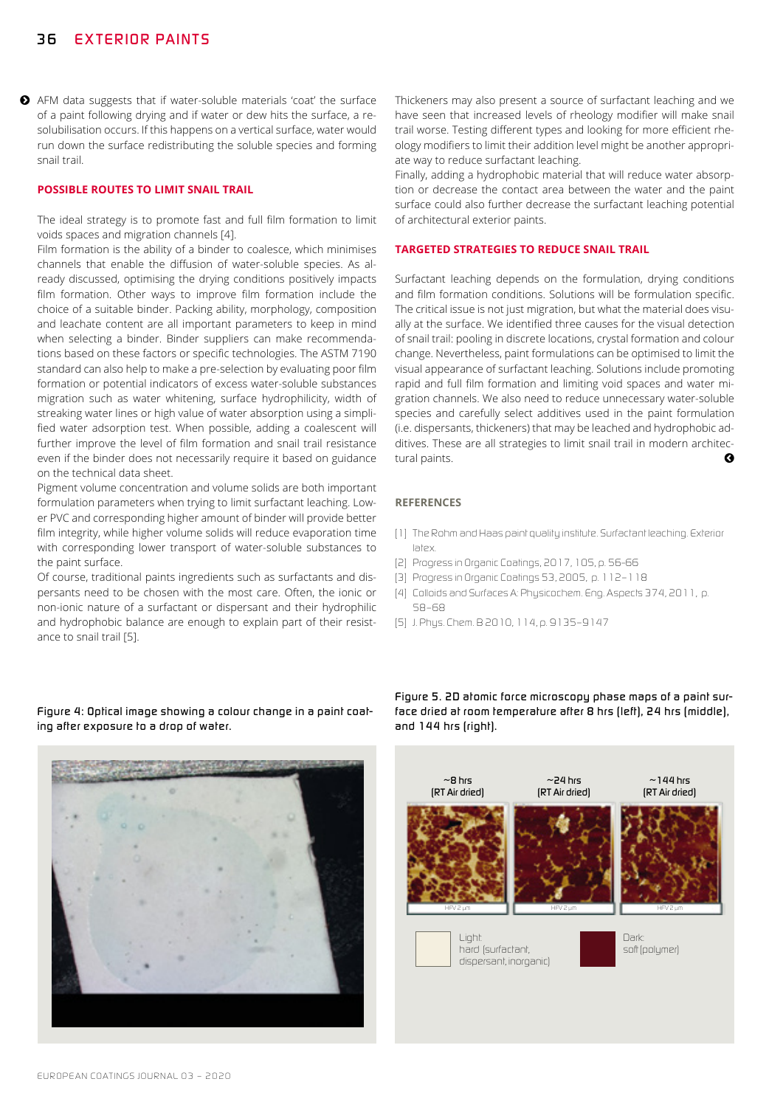◆ AFM data suggests that if water-soluble materials 'coat' the surface of a paint following drying and if water or dew hits the surface, a resolubilisation occurs. If this happens on a vertical surface, water would run down the surface redistributing the soluble species and forming snail trail.

#### **POSSIBLE ROUTES TO LIMIT SNAIL TRAIL**

The ideal strategy is to promote fast and full film formation to limit voids spaces and migration channels [4].

Film formation is the ability of a binder to coalesce, which minimises channels that enable the diffusion of water-soluble species. As already discussed, optimising the drying conditions positively impacts film formation. Other ways to improve film formation include the choice of a suitable binder. Packing ability, morphology, composition and leachate content are all important parameters to keep in mind when selecting a binder. Binder suppliers can make recommendations based on these factors or specific technologies. The ASTM 7190 standard can also help to make a pre-selection by evaluating poor film formation or potential indicators of excess water-soluble substances migration such as water whitening, surface hydrophilicity, width of streaking water lines or high value of water absorption using a simplified water adsorption test. When possible, adding a coalescent will further improve the level of film formation and snail trail resistance even if the binder does not necessarily require it based on guidance on the technical data sheet.

Pigment volume concentration and volume solids are both important formulation parameters when trying to limit surfactant leaching. Lower PVC and corresponding higher amount of binder will provide better film integrity, while higher volume solids will reduce evaporation time with corresponding lower transport of water-soluble substances to the paint surface.

Of course, traditional paints ingredients such as surfactants and dispersants need to be chosen with the most care. Often, the ionic or non-ionic nature of a surfactant or dispersant and their hydrophilic and hydrophobic balance are enough to explain part of their resistance to snail trail [5].

*Figure 4: Optical image showing a colour change in a paint coating after exposure to a drop of water.*



Thickeners may also present a source of surfactant leaching and we have seen that increased levels of rheology modifier will make snail trail worse. Testing different types and looking for more efficient rheology modifiers to limit their addition level might be another appropriate way to reduce surfactant leaching.

Finally, adding a hydrophobic material that will reduce water absorption or decrease the contact area between the water and the paint surface could also further decrease the surfactant leaching potential of architectural exterior paints.

#### **TARGETED STRATEGIES TO REDUCE SNAIL TRAIL**

Surfactant leaching depends on the formulation, drying conditions and film formation conditions. Solutions will be formulation specific. The critical issue is not just migration, but what the material does visually at the surface. We identified three causes for the visual detection of snail trail: pooling in discrete locations, crystal formation and colour change. Nevertheless, paint formulations can be optimised to limit the visual appearance of surfactant leaching. Solutions include promoting rapid and full film formation and limiting void spaces and water migration channels. We also need to reduce unnecessary water-soluble species and carefully select additives used in the paint formulation (i.e. dispersants, thickeners) that may be leached and hydrophobic additives. These are all strategies to limit snail trail in modern architectural paints.

#### **REFERENCES**

- *[1] The Rohm and Haas paint quality institute. Surfactant leaching. Exterior latex.*
- *[2] Progress in Organic Coatings, 2017, 105, p. 56-66*
- *[3] Progress in Organic Coatings 53, 2005, p. 112–118*
- *[4] Colloids and Surfaces A: Physicochem. Eng. Aspects 374, 2011, p. 58–68*
- *[5] J. Phys. Chem. B 2010, 114, p. 9135–9147*

*Figure 5. 2D atomic force microscopy phase maps of a paint surface dried at room temperature after 8 hrs (left), 24 hrs (middle), and 144 hrs (right).*